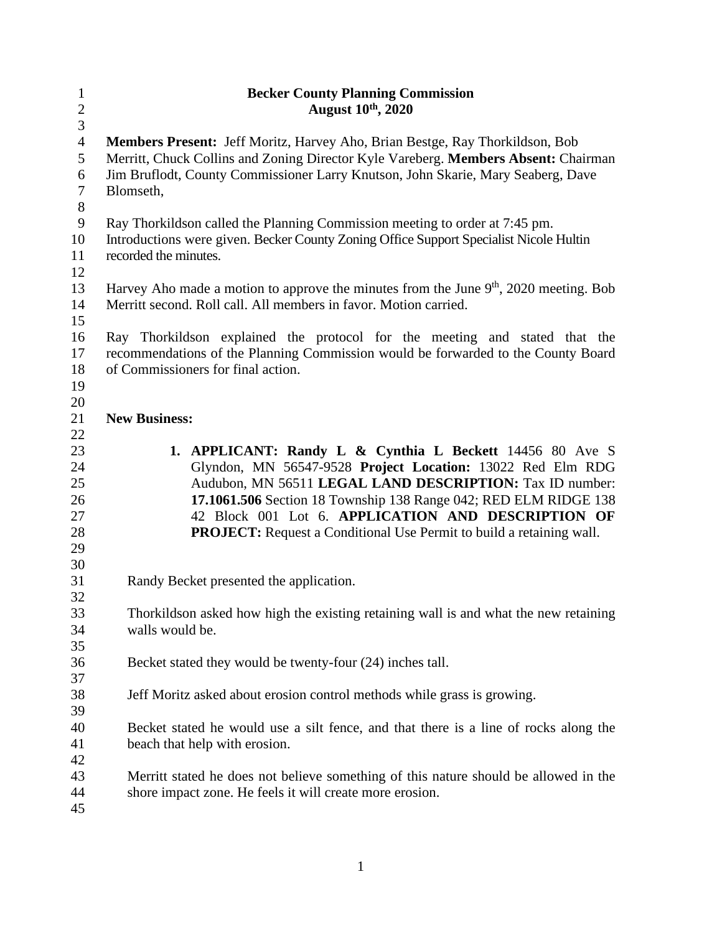| $\mathbf{1}$   | <b>Becker County Planning Commission</b>                                                |
|----------------|-----------------------------------------------------------------------------------------|
| $\sqrt{2}$     | <b>August 10th, 2020</b>                                                                |
| $\mathfrak{Z}$ |                                                                                         |
| $\overline{4}$ | Members Present: Jeff Moritz, Harvey Aho, Brian Bestge, Ray Thorkildson, Bob            |
| 5              | Merritt, Chuck Collins and Zoning Director Kyle Vareberg. Members Absent: Chairman      |
| 6<br>$\tau$    | Jim Bruflodt, County Commissioner Larry Knutson, John Skarie, Mary Seaberg, Dave        |
| $8\,$          | Blomseth,                                                                               |
| $\mathbf{9}$   | Ray Thorkildson called the Planning Commission meeting to order at 7:45 pm.             |
| 10             | Introductions were given. Becker County Zoning Office Support Specialist Nicole Hultin  |
| 11             | recorded the minutes.                                                                   |
| 12             |                                                                                         |
| 13             | Harvey Aho made a motion to approve the minutes from the June $9th$ , 2020 meeting. Bob |
| 14             | Merritt second. Roll call. All members in favor. Motion carried.                        |
| 15             |                                                                                         |
| 16             | Ray Thorkildson explained the protocol for the meeting and stated that the              |
| 17             | recommendations of the Planning Commission would be forwarded to the County Board       |
| 18             | of Commissioners for final action.                                                      |
| 19             |                                                                                         |
| 20             |                                                                                         |
| 21             | <b>New Business:</b>                                                                    |
| 22             |                                                                                         |
| 23             | 1. APPLICANT: Randy L & Cynthia L Beckett 14456 80 Ave S                                |
| 24             | Glyndon, MN 56547-9528 Project Location: 13022 Red Elm RDG                              |
| 25             | Audubon, MN 56511 LEGAL LAND DESCRIPTION: Tax ID number:                                |
| 26             | 17.1061.506 Section 18 Township 138 Range 042; RED ELM RIDGE 138                        |
| 27             | 42 Block 001 Lot 6. APPLICATION AND DESCRIPTION OF                                      |
| 28             | <b>PROJECT:</b> Request a Conditional Use Permit to build a retaining wall.             |
| 29             |                                                                                         |
| 30             |                                                                                         |
| 31             | Randy Becket presented the application.                                                 |
| 32             |                                                                                         |
| 33             | Thorkildson asked how high the existing retaining wall is and what the new retaining    |
| 34             | walls would be.                                                                         |
| 35             |                                                                                         |
| 36<br>37       | Becket stated they would be twenty-four (24) inches tall.                               |
| 38             | Jeff Moritz asked about erosion control methods while grass is growing.                 |
| 39             |                                                                                         |
| 40             | Becket stated he would use a silt fence, and that there is a line of rocks along the    |
| 41             | beach that help with erosion.                                                           |
| 42             |                                                                                         |
| 43             | Merritt stated he does not believe something of this nature should be allowed in the    |
| 44             | shore impact zone. He feels it will create more erosion.                                |
| 45             |                                                                                         |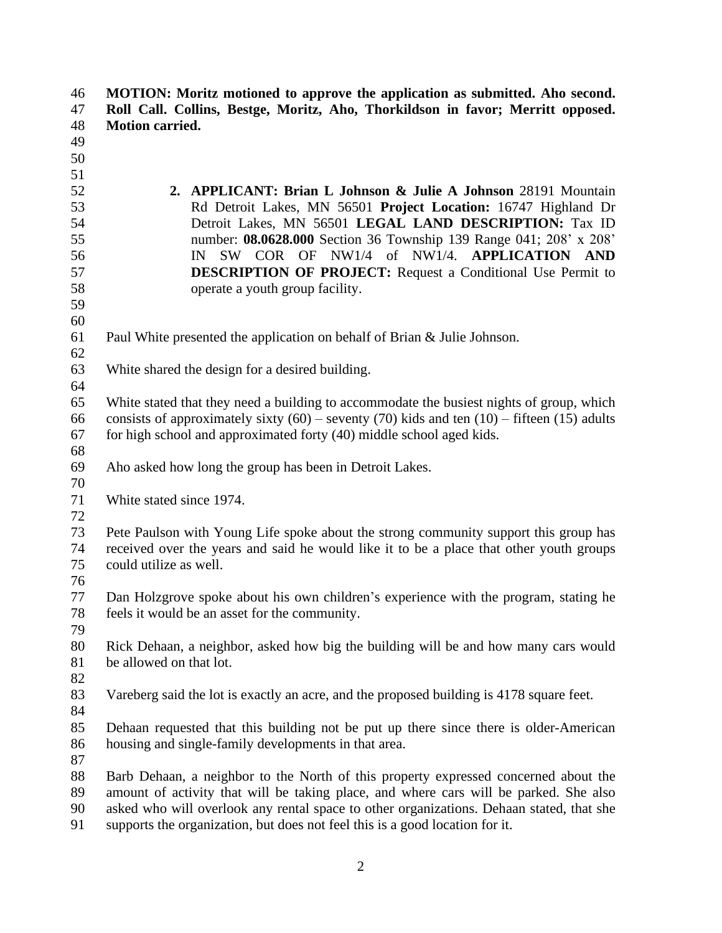**MOTION: Moritz motioned to approve the application as submitted. Aho second. Roll Call. Collins, Bestge, Moritz, Aho, Thorkildson in favor; Merritt opposed. Motion carried. 2. APPLICANT: Brian L Johnson & Julie A Johnson** 28191 Mountain Rd Detroit Lakes, MN 56501 **Project Location:** 16747 Highland Dr Detroit Lakes, MN 56501 **LEGAL LAND DESCRIPTION:** Tax ID number: **08.0628.000** Section 36 Township 139 Range 041; 208' x 208' IN SW COR OF NW1/4 of NW1/4. **APPLICATION AND DESCRIPTION OF PROJECT:** Request a Conditional Use Permit to operate a youth group facility. Paul White presented the application on behalf of Brian & Julie Johnson. White shared the design for a desired building. White stated that they need a building to accommodate the busiest nights of group, which 66 consists of approximately sixty  $(60)$  – seventy  $(70)$  kids and ten  $(10)$  – fifteen  $(15)$  adults 67 for high school and approximated forty  $(40)$  middle school aged kids. Aho asked how long the group has been in Detroit Lakes. White stated since 1974. Pete Paulson with Young Life spoke about the strong community support this group has received over the years and said he would like it to be a place that other youth groups could utilize as well. 76<br>77 Dan Holzgrove spoke about his own children's experience with the program, stating he feels it would be an asset for the community. Rick Dehaan, a neighbor, asked how big the building will be and how many cars would be allowed on that lot. Vareberg said the lot is exactly an acre, and the proposed building is 4178 square feet. Dehaan requested that this building not be put up there since there is older-American housing and single-family developments in that area. Barb Dehaan, a neighbor to the North of this property expressed concerned about the amount of activity that will be taking place, and where cars will be parked. She also asked who will overlook any rental space to other organizations. Dehaan stated, that she supports the organization, but does not feel this is a good location for it.